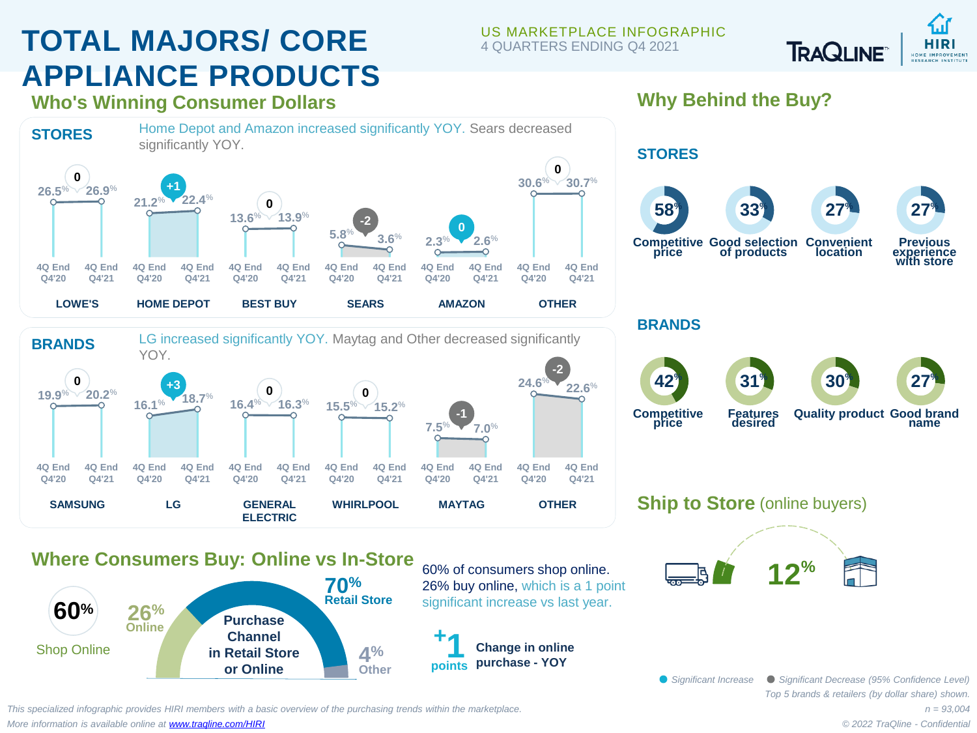# **TOTAL MAJORS/ CORE APPLIANCE PRODUCTS**

#### US MARKETPLACE INFOGRAPHIC 4 QUARTERS ENDING Q4 2021



**Who's Winning Consumer Dollars**



#### **SAMSUNG 4Q End Q4'20 4Q End Q4'21 19.9**% **20.2**% **0 LG 4Q End Q4'20 4Q End Q4'21 16.1**% **18.7**% **+3 GENERAL ELECTRIC 4Q End Q4'20 4Q End Q4'21 16.4**% **16.3**% **0 WHIRLPOOL 4Q End Q4'20 4Q End Q4'21 15.5**% **15.2**% **0 MAYTAG 4Q End Q4'20 4Q End Q4'21 7.5**% **7.0**% **-1 OTHER 4Q End Q4'20 4Q End Q4'21 24.6**% **22.6**%

**Why Behind the Buy?**



### **BRANDS**

**STORES**



## **Ship to Store** (online buyers)



### **12 Where Consumers Buy: Online vs In-Store**



60% of consumers shop online. 26% buy online, which is a 1 point significant increase vs last year.

**Change in online purchase - YOY + 1 points**

> *Top 5 brands & retailers (by dollar share) shown. Significant Increase Significant Decrease (95% Confidence Level)*

*This specialized infographic provides HIRI members with a basic overview of the purchasing trends within the marketplace. More information is available online at [www.traqline.com/HIRI](https://www.traqline.com/HIRI)*

*n = 93,004 © 2022 TraQline - Confidential*